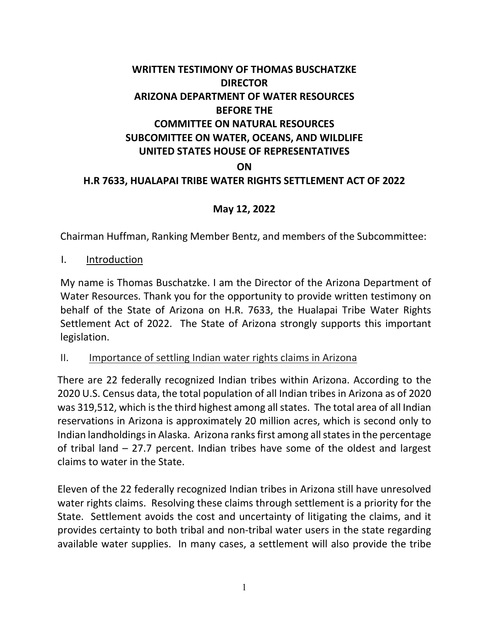# **WRITTEN TESTIMONY OF THOMAS BUSCHATZKE DIRECTOR ARIZONA DEPARTMENT OF WATER RESOURCES BEFORE THE COMMITTEE ON NATURAL RESOURCES SUBCOMITTEE ON WATER, OCEANS, AND WILDLIFE UNITED STATES HOUSE OF REPRESENTATIVES ON H.R 7633, HUALAPAI TRIBE WATER RIGHTS SETTLEMENT ACT OF 2022**

### **May 12, 2022**

Chairman Huffman, Ranking Member Bentz, and members of the Subcommittee:

I. Introduction

My name is Thomas Buschatzke. I am the Director of the Arizona Department of Water Resources. Thank you for the opportunity to provide written testimony on behalf of the State of Arizona on H.R. 7633, the Hualapai Tribe Water Rights Settlement Act of 2022. The State of Arizona strongly supports this important legislation.

#### II. Importance of settling Indian water rights claims in Arizona

There are 22 federally recognized Indian tribes within Arizona. According to the 2020 U.S. Census data, the total population of all Indian tribes in Arizona as of 2020 was 319,512, which is the third highest among all states. The total area of all Indian reservations in Arizona is approximately 20 million acres, which is second only to Indian landholdings in Alaska. Arizona ranks first among all states in the percentage of tribal land – 27.7 percent. Indian tribes have some of the oldest and largest claims to water in the State.

Eleven of the 22 federally recognized Indian tribes in Arizona still have unresolved water rights claims. Resolving these claims through settlement is a priority for the State. Settlement avoids the cost and uncertainty of litigating the claims, and it provides certainty to both tribal and non-tribal water users in the state regarding available water supplies. In many cases, a settlement will also provide the tribe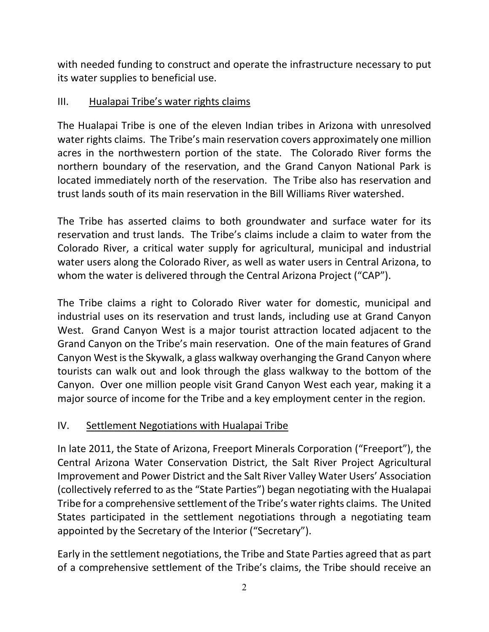with needed funding to construct and operate the infrastructure necessary to put its water supplies to beneficial use.

### III. Hualapai Tribe's water rights claims

The Hualapai Tribe is one of the eleven Indian tribes in Arizona with unresolved water rights claims. The Tribe's main reservation covers approximately one million acres in the northwestern portion of the state. The Colorado River forms the northern boundary of the reservation, and the Grand Canyon National Park is located immediately north of the reservation. The Tribe also has reservation and trust lands south of its main reservation in the Bill Williams River watershed.

The Tribe has asserted claims to both groundwater and surface water for its reservation and trust lands. The Tribe's claims include a claim to water from the Colorado River, a critical water supply for agricultural, municipal and industrial water users along the Colorado River, as well as water users in Central Arizona, to whom the water is delivered through the Central Arizona Project ("CAP").

The Tribe claims a right to Colorado River water for domestic, municipal and industrial uses on its reservation and trust lands, including use at Grand Canyon West. Grand Canyon West is a major tourist attraction located adjacent to the Grand Canyon on the Tribe's main reservation. One of the main features of Grand Canyon West is the Skywalk, a glass walkway overhanging the Grand Canyon where tourists can walk out and look through the glass walkway to the bottom of the Canyon. Over one million people visit Grand Canyon West each year, making it a major source of income for the Tribe and a key employment center in the region.

### IV. Settlement Negotiations with Hualapai Tribe

In late 2011, the State of Arizona, Freeport Minerals Corporation ("Freeport"), the Central Arizona Water Conservation District, the Salt River Project Agricultural Improvement and Power District and the Salt River Valley Water Users' Association (collectively referred to as the "State Parties") began negotiating with the Hualapai Tribe for a comprehensive settlement of the Tribe's water rights claims. The United States participated in the settlement negotiations through a negotiating team appointed by the Secretary of the Interior ("Secretary").

Early in the settlement negotiations, the Tribe and State Parties agreed that as part of a comprehensive settlement of the Tribe's claims, the Tribe should receive an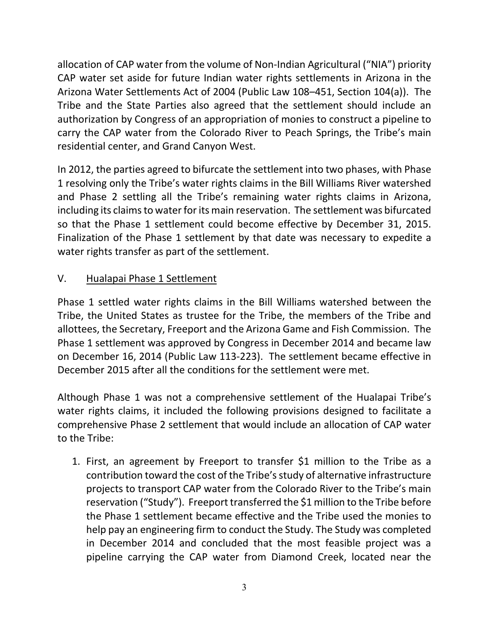allocation of CAP water from the volume of Non-Indian Agricultural ("NIA") priority CAP water set aside for future Indian water rights settlements in Arizona in the Arizona Water Settlements Act of 2004 (Public Law 108–451, Section 104(a)). The Tribe and the State Parties also agreed that the settlement should include an authorization by Congress of an appropriation of monies to construct a pipeline to carry the CAP water from the Colorado River to Peach Springs, the Tribe's main residential center, and Grand Canyon West.

In 2012, the parties agreed to bifurcate the settlement into two phases, with Phase 1 resolving only the Tribe's water rights claims in the Bill Williams River watershed and Phase 2 settling all the Tribe's remaining water rights claims in Arizona, including its claims to water for its main reservation. The settlement was bifurcated so that the Phase 1 settlement could become effective by December 31, 2015. Finalization of the Phase 1 settlement by that date was necessary to expedite a water rights transfer as part of the settlement.

## V. Hualapai Phase 1 Settlement

Phase 1 settled water rights claims in the Bill Williams watershed between the Tribe, the United States as trustee for the Tribe, the members of the Tribe and allottees, the Secretary, Freeport and the Arizona Game and Fish Commission. The Phase 1 settlement was approved by Congress in December 2014 and became law on December 16, 2014 (Public Law 113-223). The settlement became effective in December 2015 after all the conditions for the settlement were met.

Although Phase 1 was not a comprehensive settlement of the Hualapai Tribe's water rights claims, it included the following provisions designed to facilitate a comprehensive Phase 2 settlement that would include an allocation of CAP water to the Tribe:

1. First, an agreement by Freeport to transfer \$1 million to the Tribe as a contribution toward the cost of the Tribe's study of alternative infrastructure projects to transport CAP water from the Colorado River to the Tribe's main reservation ("Study"). Freeport transferred the \$1 million to the Tribe before the Phase 1 settlement became effective and the Tribe used the monies to help pay an engineering firm to conduct the Study. The Study was completed in December 2014 and concluded that the most feasible project was a pipeline carrying the CAP water from Diamond Creek, located near the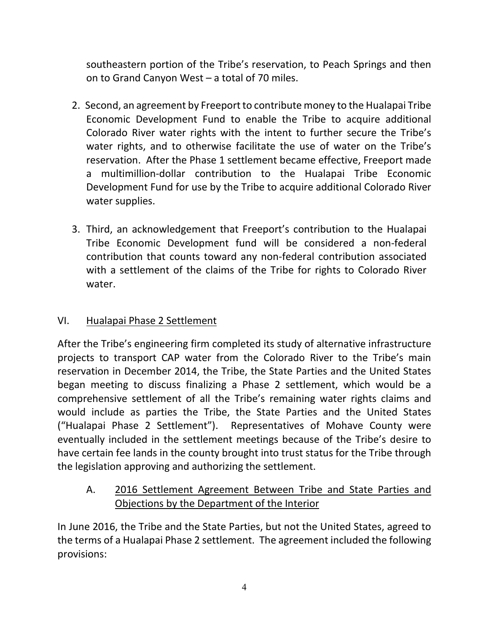southeastern portion of the Tribe's reservation, to Peach Springs and then on to Grand Canyon West – a total of 70 miles.

- 2. Second, an agreement by Freeport to contribute money to the Hualapai Tribe Economic Development Fund to enable the Tribe to acquire additional Colorado River water rights with the intent to further secure the Tribe's water rights, and to otherwise facilitate the use of water on the Tribe's reservation. After the Phase 1 settlement became effective, Freeport made a multimillion-dollar contribution to the Hualapai Tribe Economic Development Fund for use by the Tribe to acquire additional Colorado River water supplies.
- 3. Third, an acknowledgement that Freeport's contribution to the Hualapai Tribe Economic Development fund will be considered a non-federal contribution that counts toward any non-federal contribution associated with a settlement of the claims of the Tribe for rights to Colorado River water.

### VI. Hualapai Phase 2 Settlement

After the Tribe's engineering firm completed its study of alternative infrastructure projects to transport CAP water from the Colorado River to the Tribe's main reservation in December 2014, the Tribe, the State Parties and the United States began meeting to discuss finalizing a Phase 2 settlement, which would be a comprehensive settlement of all the Tribe's remaining water rights claims and would include as parties the Tribe, the State Parties and the United States ("Hualapai Phase 2 Settlement"). Representatives of Mohave County were eventually included in the settlement meetings because of the Tribe's desire to have certain fee lands in the county brought into trust status for the Tribe through the legislation approving and authorizing the settlement.

A. 2016 Settlement Agreement Between Tribe and State Parties and Objections by the Department of the Interior

In June 2016, the Tribe and the State Parties, but not the United States, agreed to the terms of a Hualapai Phase 2 settlement. The agreement included the following provisions: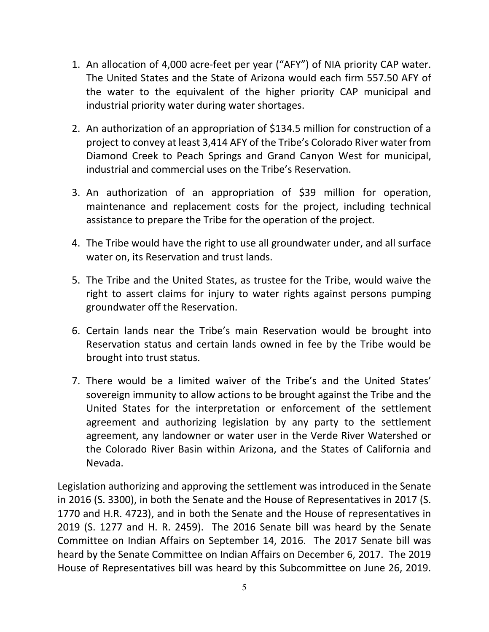- 1. An allocation of 4,000 acre-feet per year ("AFY") of NIA priority CAP water. The United States and the State of Arizona would each firm 557.50 AFY of the water to the equivalent of the higher priority CAP municipal and industrial priority water during water shortages.
- 2. An authorization of an appropriation of \$134.5 million for construction of a project to convey at least 3,414 AFY of the Tribe's Colorado River water from Diamond Creek to Peach Springs and Grand Canyon West for municipal, industrial and commercial uses on the Tribe's Reservation.
- 3. An authorization of an appropriation of \$39 million for operation, maintenance and replacement costs for the project, including technical assistance to prepare the Tribe for the operation of the project.
- 4. The Tribe would have the right to use all groundwater under, and all surface water on, its Reservation and trust lands.
- 5. The Tribe and the United States, as trustee for the Tribe, would waive the right to assert claims for injury to water rights against persons pumping groundwater off the Reservation.
- 6. Certain lands near the Tribe's main Reservation would be brought into Reservation status and certain lands owned in fee by the Tribe would be brought into trust status.
- 7. There would be a limited waiver of the Tribe's and the United States' sovereign immunity to allow actions to be brought against the Tribe and the United States for the interpretation or enforcement of the settlement agreement and authorizing legislation by any party to the settlement agreement, any landowner or water user in the Verde River Watershed or the Colorado River Basin within Arizona, and the States of California and Nevada.

Legislation authorizing and approving the settlement was introduced in the Senate in 2016 (S. 3300), in both the Senate and the House of Representatives in 2017 (S. 1770 and H.R. 4723), and in both the Senate and the House of representatives in 2019 (S. 1277 and H. R. 2459). The 2016 Senate bill was heard by the Senate Committee on Indian Affairs on September 14, 2016. The 2017 Senate bill was heard by the Senate Committee on Indian Affairs on December 6, 2017. The 2019 House of Representatives bill was heard by this Subcommittee on June 26, 2019.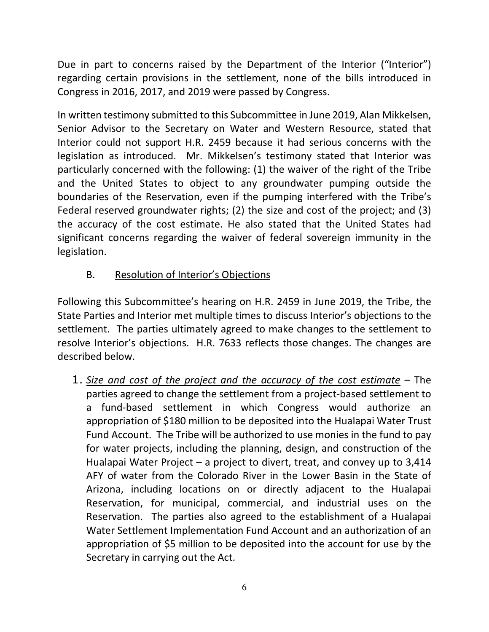Due in part to concerns raised by the Department of the Interior ("Interior") regarding certain provisions in the settlement, none of the bills introduced in Congress in 2016, 2017, and 2019 were passed by Congress.

In written testimony submitted to this Subcommittee in June 2019, Alan Mikkelsen, Senior Advisor to the Secretary on Water and Western Resource, stated that Interior could not support H.R. 2459 because it had serious concerns with the legislation as introduced. Mr. Mikkelsen's testimony stated that Interior was particularly concerned with the following: (1) the waiver of the right of the Tribe and the United States to object to any groundwater pumping outside the boundaries of the Reservation, even if the pumping interfered with the Tribe's Federal reserved groundwater rights; (2) the size and cost of the project; and (3) the accuracy of the cost estimate. He also stated that the United States had significant concerns regarding the waiver of federal sovereign immunity in the legislation.

## B. Resolution of Interior's Objections

Following this Subcommittee's hearing on H.R. 2459 in June 2019, the Tribe, the State Parties and Interior met multiple times to discuss Interior's objections to the settlement. The parties ultimately agreed to make changes to the settlement to resolve Interior's objections. H.R. 7633 reflects those changes. The changes are described below.

1. *Size and cost of the project and the accuracy of the cost estimate* – The parties agreed to change the settlement from a project-based settlement to a fund-based settlement in which Congress would authorize an appropriation of \$180 million to be deposited into the Hualapai Water Trust Fund Account. The Tribe will be authorized to use monies in the fund to pay for water projects, including the planning, design, and construction of the Hualapai Water Project – a project to divert, treat, and convey up to 3,414 AFY of water from the Colorado River in the Lower Basin in the State of Arizona, including locations on or directly adjacent to the Hualapai Reservation, for municipal, commercial, and industrial uses on the Reservation. The parties also agreed to the establishment of a Hualapai Water Settlement Implementation Fund Account and an authorization of an appropriation of \$5 million to be deposited into the account for use by the Secretary in carrying out the Act.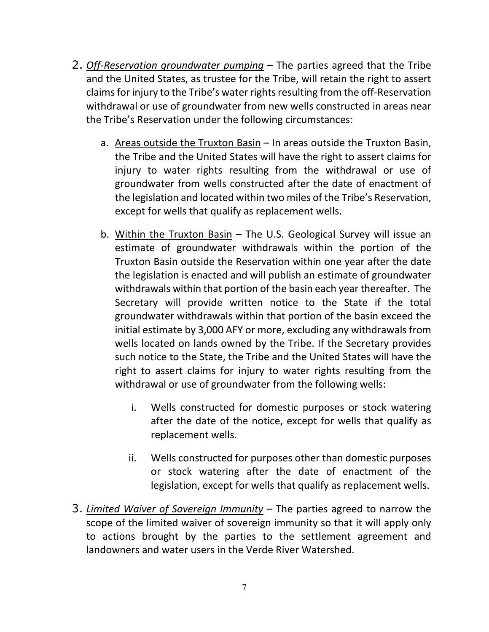- 2. *Off-Reservation groundwater pumping* The parties agreed that the Tribe and the United States, as trustee for the Tribe, will retain the right to assert claims for injury to the Tribe's water rights resulting from the off-Reservation withdrawal or use of groundwater from new wells constructed in areas near the Tribe's Reservation under the following circumstances:
	- a. Areas outside the Truxton Basin In areas outside the Truxton Basin, the Tribe and the United States will have the right to assert claims for injury to water rights resulting from the withdrawal or use of groundwater from wells constructed after the date of enactment of the legislation and located within two miles of the Tribe's Reservation, except for wells that qualify as replacement wells.
	- b. Within the Truxton Basin The U.S. Geological Survey will issue an estimate of groundwater withdrawals within the portion of the Truxton Basin outside the Reservation within one year after the date the legislation is enacted and will publish an estimate of groundwater withdrawals within that portion of the basin each year thereafter. The Secretary will provide written notice to the State if the total groundwater withdrawals within that portion of the basin exceed the initial estimate by 3,000 AFY or more, excluding any withdrawals from wells located on lands owned by the Tribe. If the Secretary provides such notice to the State, the Tribe and the United States will have the right to assert claims for injury to water rights resulting from the withdrawal or use of groundwater from the following wells:
		- i. Wells constructed for domestic purposes or stock watering after the date of the notice, except for wells that qualify as replacement wells.
		- ii. Wells constructed for purposes other than domestic purposes or stock watering after the date of enactment of the legislation, except for wells that qualify as replacement wells.
- 3. *Limited Waiver of Sovereign Immunity* The parties agreed to narrow the scope of the limited waiver of sovereign immunity so that it will apply only to actions brought by the parties to the settlement agreement and landowners and water users in the Verde River Watershed.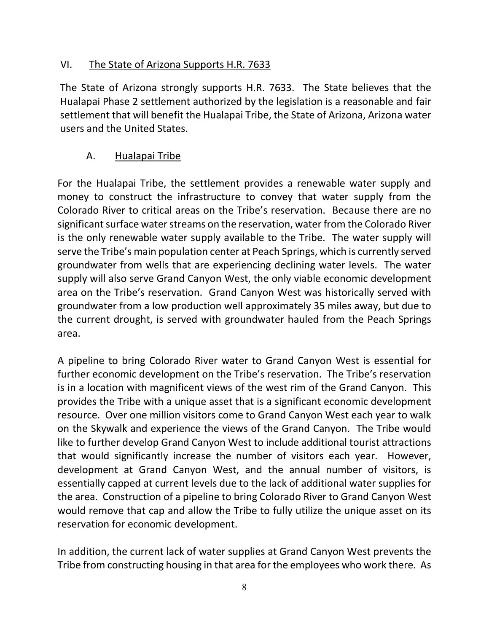### VI. The State of Arizona Supports H.R. 7633

The State of Arizona strongly supports H.R. 7633. The State believes that the Hualapai Phase 2 settlement authorized by the legislation is a reasonable and fair settlement that will benefit the Hualapai Tribe, the State of Arizona, Arizona water users and the United States.

#### A. Hualapai Tribe

For the Hualapai Tribe, the settlement provides a renewable water supply and money to construct the infrastructure to convey that water supply from the Colorado River to critical areas on the Tribe's reservation. Because there are no significant surface water streams on the reservation, water from the Colorado River is the only renewable water supply available to the Tribe. The water supply will serve the Tribe's main population center at Peach Springs, which is currently served groundwater from wells that are experiencing declining water levels. The water supply will also serve Grand Canyon West, the only viable economic development area on the Tribe's reservation. Grand Canyon West was historically served with groundwater from a low production well approximately 35 miles away, but due to the current drought, is served with groundwater hauled from the Peach Springs area.

A pipeline to bring Colorado River water to Grand Canyon West is essential for further economic development on the Tribe's reservation. The Tribe's reservation is in a location with magnificent views of the west rim of the Grand Canyon. This provides the Tribe with a unique asset that is a significant economic development resource. Over one million visitors come to Grand Canyon West each year to walk on the Skywalk and experience the views of the Grand Canyon. The Tribe would like to further develop Grand Canyon West to include additional tourist attractions that would significantly increase the number of visitors each year. However, development at Grand Canyon West, and the annual number of visitors, is essentially capped at current levels due to the lack of additional water supplies for the area. Construction of a pipeline to bring Colorado River to Grand Canyon West would remove that cap and allow the Tribe to fully utilize the unique asset on its reservation for economic development.

In addition, the current lack of water supplies at Grand Canyon West prevents the Tribe from constructing housing in that area for the employees who work there. As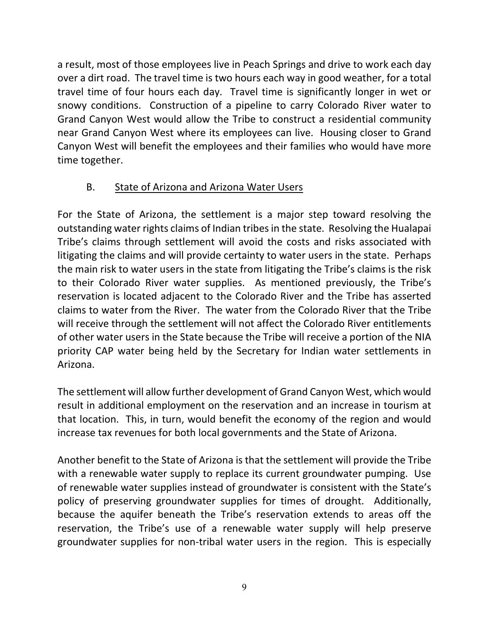a result, most of those employees live in Peach Springs and drive to work each day over a dirt road. The travel time is two hours each way in good weather, for a total travel time of four hours each day. Travel time is significantly longer in wet or snowy conditions. Construction of a pipeline to carry Colorado River water to Grand Canyon West would allow the Tribe to construct a residential community near Grand Canyon West where its employees can live. Housing closer to Grand Canyon West will benefit the employees and their families who would have more time together.

### B. State of Arizona and Arizona Water Users

For the State of Arizona, the settlement is a major step toward resolving the outstanding water rights claims of Indian tribes in the state. Resolving the Hualapai Tribe's claims through settlement will avoid the costs and risks associated with litigating the claims and will provide certainty to water users in the state. Perhaps the main risk to water users in the state from litigating the Tribe's claims is the risk to their Colorado River water supplies. As mentioned previously, the Tribe's reservation is located adjacent to the Colorado River and the Tribe has asserted claims to water from the River. The water from the Colorado River that the Tribe will receive through the settlement will not affect the Colorado River entitlements of other water users in the State because the Tribe will receive a portion of the NIA priority CAP water being held by the Secretary for Indian water settlements in Arizona.

The settlement will allow further development of Grand Canyon West, which would result in additional employment on the reservation and an increase in tourism at that location. This, in turn, would benefit the economy of the region and would increase tax revenues for both local governments and the State of Arizona.

Another benefit to the State of Arizona is that the settlement will provide the Tribe with a renewable water supply to replace its current groundwater pumping. Use of renewable water supplies instead of groundwater is consistent with the State's policy of preserving groundwater supplies for times of drought. Additionally, because the aquifer beneath the Tribe's reservation extends to areas off the reservation, the Tribe's use of a renewable water supply will help preserve groundwater supplies for non-tribal water users in the region. This is especially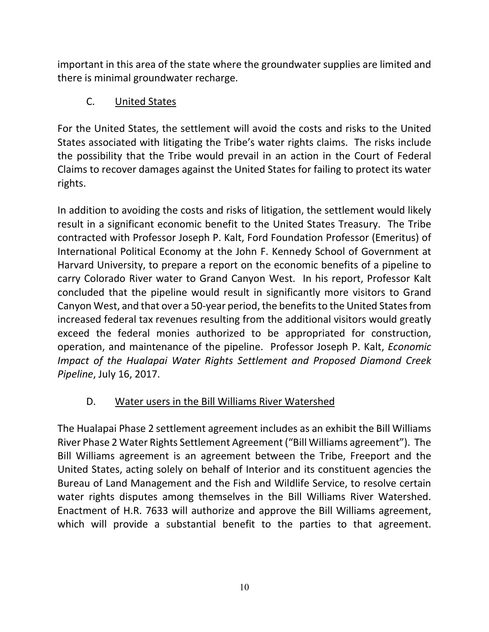important in this area of the state where the groundwater supplies are limited and there is minimal groundwater recharge.

## C. United States

For the United States, the settlement will avoid the costs and risks to the United States associated with litigating the Tribe's water rights claims. The risks include the possibility that the Tribe would prevail in an action in the Court of Federal Claims to recover damages against the United States for failing to protect its water rights.

In addition to avoiding the costs and risks of litigation, the settlement would likely result in a significant economic benefit to the United States Treasury. The Tribe contracted with Professor Joseph P. Kalt, Ford Foundation Professor (Emeritus) of International Political Economy at the John F. Kennedy School of Government at Harvard University, to prepare a report on the economic benefits of a pipeline to carry Colorado River water to Grand Canyon West. In his report, Professor Kalt concluded that the pipeline would result in significantly more visitors to Grand Canyon West, and that over a 50-year period, the benefits to the United States from increased federal tax revenues resulting from the additional visitors would greatly exceed the federal monies authorized to be appropriated for construction, operation, and maintenance of the pipeline. Professor Joseph P. Kalt, *Economic Impact of the Hualapai Water Rights Settlement and Proposed Diamond Creek Pipeline*, July 16, 2017.

## D. Water users in the Bill Williams River Watershed

The Hualapai Phase 2 settlement agreement includes as an exhibit the Bill Williams River Phase 2 Water Rights Settlement Agreement ("Bill Williams agreement"). The Bill Williams agreement is an agreement between the Tribe, Freeport and the United States, acting solely on behalf of Interior and its constituent agencies the Bureau of Land Management and the Fish and Wildlife Service, to resolve certain water rights disputes among themselves in the Bill Williams River Watershed. Enactment of H.R. 7633 will authorize and approve the Bill Williams agreement, which will provide a substantial benefit to the parties to that agreement.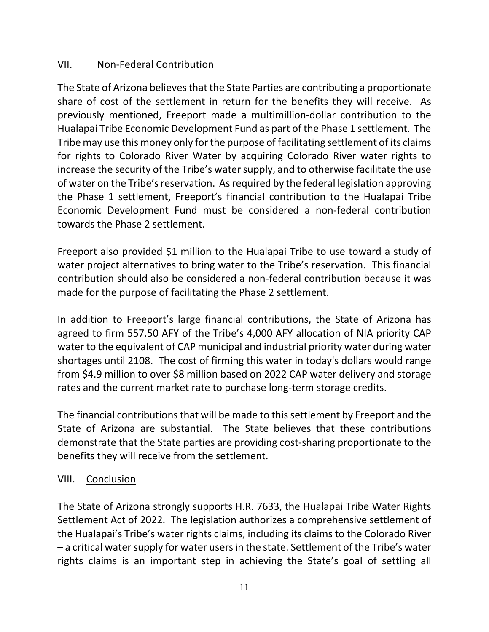### VII. Non-Federal Contribution

The State of Arizona believes that the State Parties are contributing a proportionate share of cost of the settlement in return for the benefits they will receive. As previously mentioned, Freeport made a multimillion-dollar contribution to the Hualapai Tribe Economic Development Fund as part of the Phase 1 settlement. The Tribe may use this money only for the purpose of facilitating settlement of its claims for rights to Colorado River Water by acquiring Colorado River water rights to increase the security of the Tribe's water supply, and to otherwise facilitate the use of water on the Tribe's reservation. As required by the federal legislation approving the Phase 1 settlement, Freeport's financial contribution to the Hualapai Tribe Economic Development Fund must be considered a non-federal contribution towards the Phase 2 settlement.

Freeport also provided \$1 million to the Hualapai Tribe to use toward a study of water project alternatives to bring water to the Tribe's reservation. This financial contribution should also be considered a non-federal contribution because it was made for the purpose of facilitating the Phase 2 settlement.

In addition to Freeport's large financial contributions, the State of Arizona has agreed to firm 557.50 AFY of the Tribe's 4,000 AFY allocation of NIA priority CAP water to the equivalent of CAP municipal and industrial priority water during water shortages until 2108. The cost of firming this water in today's dollars would range from \$4.9 million to over \$8 million based on 2022 CAP water delivery and storage rates and the current market rate to purchase long-term storage credits.

The financial contributions that will be made to this settlement by Freeport and the State of Arizona are substantial. The State believes that these contributions demonstrate that the State parties are providing cost-sharing proportionate to the benefits they will receive from the settlement.

### VIII. Conclusion

The State of Arizona strongly supports H.R. 7633, the Hualapai Tribe Water Rights Settlement Act of 2022. The legislation authorizes a comprehensive settlement of the Hualapai's Tribe's water rights claims, including its claims to the Colorado River – a critical water supply for water users in the state. Settlement of the Tribe's water rights claims is an important step in achieving the State's goal of settling all